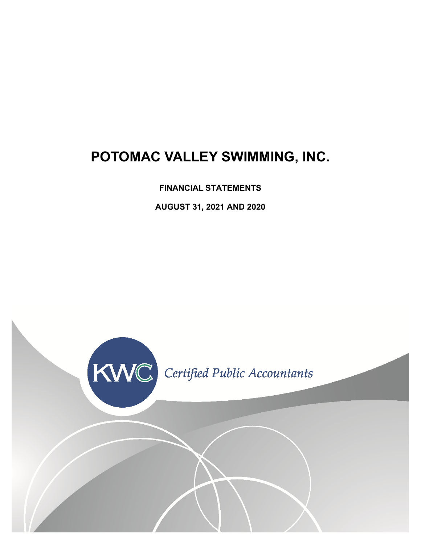# **POTOMAC VALLEY SWIMMING, INC.**

**FINANCIAL STATEMENTS**

**AUGUST 31, 2021 AND 2020**

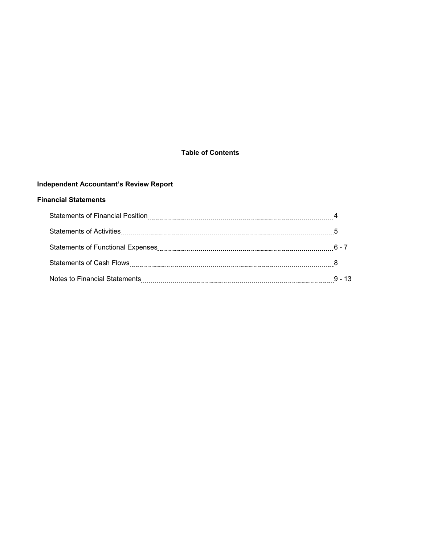### **Table of Contents**

### **Independent Accountant's Review Report**

#### **Financial Statements**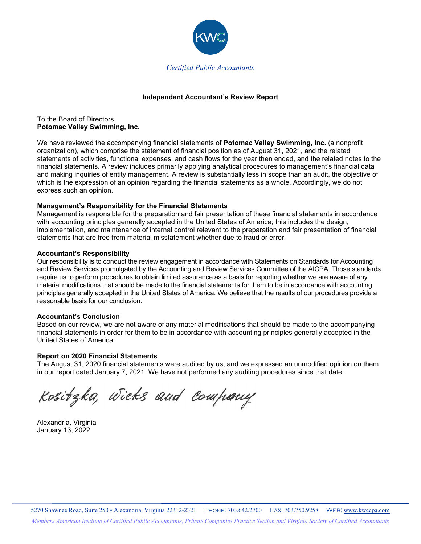

#### **Independent Accountant's Review Report**

To the Board of Directors **Potomac Valley Swimming, Inc.**

We have reviewed the accompanying financial statements of **Potomac Valley Swimming, Inc.** (a nonprofit organization), which comprise the statement of financial position as of August 31, 2021, and the related statements of activities, functional expenses, and cash flows for the year then ended, and the related notes to the financial statements. A review includes primarily applying analytical procedures to management's financial data and making inquiries of entity management. A review is substantially less in scope than an audit, the objective of which is the expression of an opinion regarding the financial statements as a whole. Accordingly, we do not express such an opinion.

#### **Management's Responsibility for the Financial Statements**

Management is responsible for the preparation and fair presentation of these financial statements in accordance with accounting principles generally accepted in the United States of America; this includes the design, implementation, and maintenance of internal control relevant to the preparation and fair presentation of financial statements that are free from material misstatement whether due to fraud or error.

#### **Accountant's Responsibility**

Our responsibility is to conduct the review engagement in accordance with Statements on Standards for Accounting and Review Services promulgated by the Accounting and Review Services Committee of the AICPA. Those standards require us to perform procedures to obtain limited assurance as a basis for reporting whether we are aware of any material modifications that should be made to the financial statements for them to be in accordance with accounting principles generally accepted in the United States of America. We believe that the results of our procedures provide a reasonable basis for our conclusion.

#### **Accountant's Conclusion**

Based on our review, we are not aware of any material modifications that should be made to the accompanying financial statements in order for them to be in accordance with accounting principles generally accepted in the United States of America.

#### **Report on 2020 Financial Statements**

The August 31, 2020 financial statements were audited by us, and we expressed an unmodified opinion on them in our report dated January 7, 2021. We have not performed any auditing procedures since that date.

Kositzka, Wicks and Company

Alexandria, Virginia January 13, 2022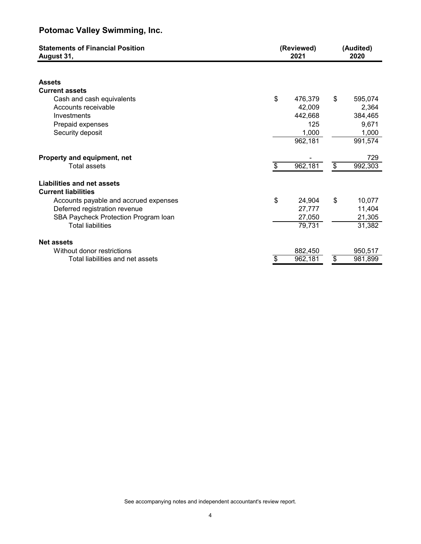| <b>Statements of Financial Position</b><br>August 31,                                                                                                                                                  | (Reviewed)<br>2021                                            |    |                                                          |
|--------------------------------------------------------------------------------------------------------------------------------------------------------------------------------------------------------|---------------------------------------------------------------|----|----------------------------------------------------------|
| <b>Assets</b><br><b>Current assets</b><br>Cash and cash equivalents<br>Accounts receivable<br>Investments<br>Prepaid expenses<br>Security deposit                                                      | \$<br>476,379<br>42,009<br>442,668<br>125<br>1,000<br>962,181 | \$ | 595,074<br>2,364<br>384,465<br>9,671<br>1,000<br>991,574 |
| Property and equipment, net<br><b>Total assets</b>                                                                                                                                                     | \$<br>962,181                                                 | \$ | 729<br>992,303                                           |
| Liabilities and net assets<br><b>Current liabilities</b><br>Accounts payable and accrued expenses<br>Deferred registration revenue<br>SBA Paycheck Protection Program Ioan<br><b>Total liabilities</b> | \$<br>24,904<br>27,777<br>27,050<br>79,731                    | \$ | 10,077<br>11,404<br>21,305<br>31,382                     |
| <b>Net assets</b><br>Without donor restrictions<br>Total liabilities and net assets                                                                                                                    | \$<br>882,450<br>962,181                                      | \$ | 950,517<br>981,899                                       |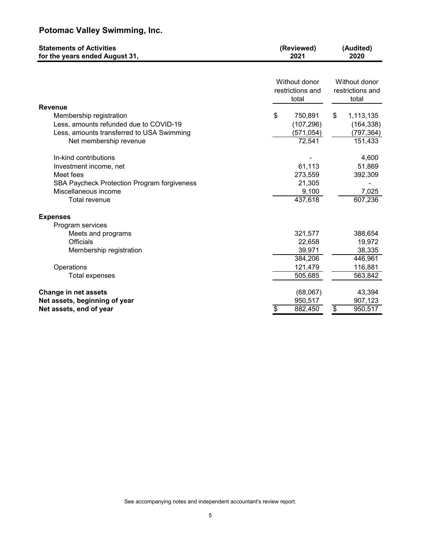| <b>Statements of Activities</b><br>for the years ended August 31,                                                                                          | (Reviewed)<br>2021                                           | (Audited)<br>2020                                            |  |  |  |
|------------------------------------------------------------------------------------------------------------------------------------------------------------|--------------------------------------------------------------|--------------------------------------------------------------|--|--|--|
|                                                                                                                                                            | Without donor<br>restrictions and<br>total                   | Without donor<br>restrictions and<br>total                   |  |  |  |
| <b>Revenue</b><br>Membership registration<br>Less, amounts refunded due to COVID-19<br>Less, amounts transferred to USA Swimming<br>Net membership revenue | \$<br>750,891<br>(107, 296)<br>(571, 054)<br>72,541          | \$<br>1,113,135<br>(164, 338)<br>(797, 364)<br>151,433       |  |  |  |
| In-kind contributions<br>Investment income, net<br>Meet fees<br>SBA Paycheck Protection Program forgiveness<br>Miscellaneous income<br>Total revenue       | 61,113<br>273,559<br>21,305<br>9,100<br>437,618              | 4,600<br>51,869<br>392,309<br>7,025<br>607,236               |  |  |  |
| <b>Expenses</b><br>Program services<br>Meets and programs<br>Officials<br>Membership registration<br>Operations<br>Total expenses                          | 321,577<br>22,658<br>39,971<br>384,206<br>121,479<br>505,685 | 388,654<br>19,972<br>38,335<br>446,961<br>116,881<br>563,842 |  |  |  |
| <b>Change in net assets</b><br>Net assets, beginning of year<br>Net assets, end of year                                                                    | (68,067)<br>950,517<br>\$<br>882,450                         | 43,394<br>907,123<br>\$<br>950,517                           |  |  |  |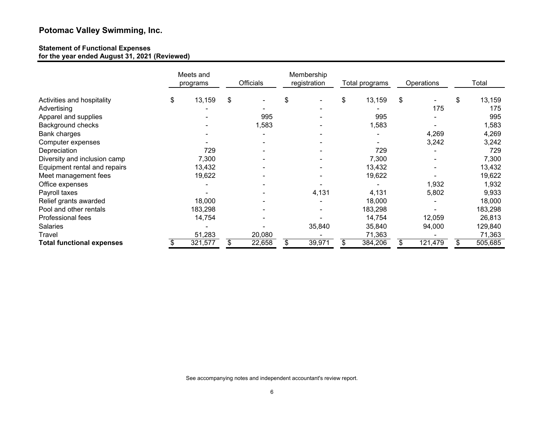#### **Statement of Functional Expenses for the year ended August 31, 2021 (Reviewed)**

|                                  | Meets and<br>programs | Officials |        | Membership<br>registration |    | Total programs           |    | Operations |    | Total   |
|----------------------------------|-----------------------|-----------|--------|----------------------------|----|--------------------------|----|------------|----|---------|
| Activities and hospitality       | \$<br>13,159          | \$        |        | \$                         | \$ | 13,159                   | \$ |            | \$ | 13,159  |
| Advertising                      |                       |           |        |                            |    |                          |    | 175        |    | 175     |
| Apparel and supplies             |                       |           | 995    |                            |    | 995                      |    |            |    | 995     |
| Background checks                |                       |           | 1,583  |                            |    | 1,583                    |    |            |    | 1,583   |
| Bank charges                     |                       |           |        |                            |    | $\overline{\phantom{a}}$ |    | 4,269      |    | 4,269   |
| Computer expenses                |                       |           |        |                            |    |                          |    | 3,242      |    | 3,242   |
| Depreciation                     | 729                   |           |        |                            |    | 729                      |    |            |    | 729     |
| Diversity and inclusion camp     | 7,300                 |           |        |                            |    | 7,300                    |    |            |    | 7,300   |
| Equipment rental and repairs     | 13,432                |           |        |                            |    | 13,432                   |    |            |    | 13,432  |
| Meet management fees             | 19,622                |           |        |                            |    | 19,622                   |    |            |    | 19,622  |
| Office expenses                  |                       |           |        |                            |    |                          |    | 1,932      |    | 1,932   |
| Payroll taxes                    |                       |           |        | 4,131                      |    | 4,131                    |    | 5,802      |    | 9,933   |
| Relief grants awarded            | 18,000                |           |        |                            |    | 18,000                   |    |            |    | 18,000  |
| Pool and other rentals           | 183,298               |           |        |                            |    | 183,298                  |    |            |    | 183,298 |
| Professional fees                | 14,754                |           |        |                            |    | 14,754                   |    | 12,059     |    | 26,813  |
| <b>Salaries</b>                  |                       |           |        | 35,840                     |    | 35,840                   |    | 94,000     |    | 129,840 |
| Travel                           | 51,283                |           | 20,080 |                            |    | 71,363                   |    |            |    | 71,363  |
| <b>Total functional expenses</b> | 321,577               | S         | 22,658 | 39,971                     |    | 384,206                  |    | 121,479    |    | 505,685 |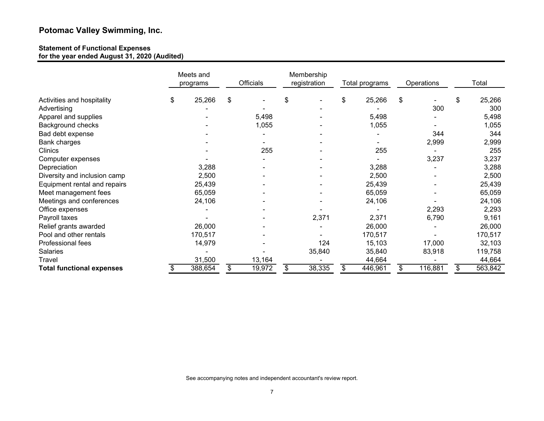#### **Statement of Functional Expenses for the year ended August 31, 2020 (Audited)**

|                                  | Meets and<br>programs |    | Officials |    | Membership<br>registration<br>Total programs |    | Operations |    |         | Total |         |
|----------------------------------|-----------------------|----|-----------|----|----------------------------------------------|----|------------|----|---------|-------|---------|
| Activities and hospitality       | \$<br>25,266          | \$ |           | \$ |                                              | \$ | 25,266     | \$ |         | \$    | 25,266  |
| Advertising                      |                       |    |           |    |                                              |    |            |    | 300     |       | 300     |
| Apparel and supplies             |                       |    | 5,498     |    |                                              |    | 5,498      |    |         |       | 5,498   |
| Background checks                |                       |    | 1,055     |    |                                              |    | 1,055      |    |         |       | 1,055   |
| Bad debt expense                 |                       |    |           |    |                                              |    |            |    | 344     |       | 344     |
| Bank charges                     |                       |    |           |    |                                              |    |            |    | 2,999   |       | 2,999   |
| Clinics                          |                       |    | 255       |    |                                              |    | 255        |    |         |       | 255     |
| Computer expenses                |                       |    |           |    |                                              |    |            |    | 3,237   |       | 3,237   |
| Depreciation                     | 3,288                 |    |           |    |                                              |    | 3,288      |    |         |       | 3,288   |
| Diversity and inclusion camp     | 2,500                 |    |           |    |                                              |    | 2,500      |    |         |       | 2,500   |
| Equipment rental and repairs     | 25,439                |    |           |    |                                              |    | 25,439     |    |         |       | 25,439  |
| Meet management fees             | 65,059                |    |           |    |                                              |    | 65,059     |    |         |       | 65,059  |
| Meetings and conferences         | 24,106                |    |           |    |                                              |    | 24,106     |    |         |       | 24,106  |
| Office expenses                  |                       |    |           |    |                                              |    |            |    | 2,293   |       | 2,293   |
| Payroll taxes                    |                       |    |           |    | 2,371                                        |    | 2,371      |    | 6,790   |       | 9,161   |
| Relief grants awarded            | 26,000                |    |           |    |                                              |    | 26,000     |    |         |       | 26,000  |
| Pool and other rentals           | 170,517               |    |           |    |                                              |    | 170,517    |    |         |       | 170,517 |
| Professional fees                | 14,979                |    |           |    | 124                                          |    | 15,103     |    | 17,000  |       | 32,103  |
| <b>Salaries</b>                  |                       |    |           |    | 35,840                                       |    | 35,840     |    | 83,918  |       | 119,758 |
| <b>Travel</b>                    | 31,500                |    | 13,164    |    |                                              |    | 44,664     |    |         |       | 44,664  |
| <b>Total functional expenses</b> | 388,654               |    | 19,972    | \$ | 38,335                                       |    | 446,961    | \$ | 116,881 | \$.   | 563,842 |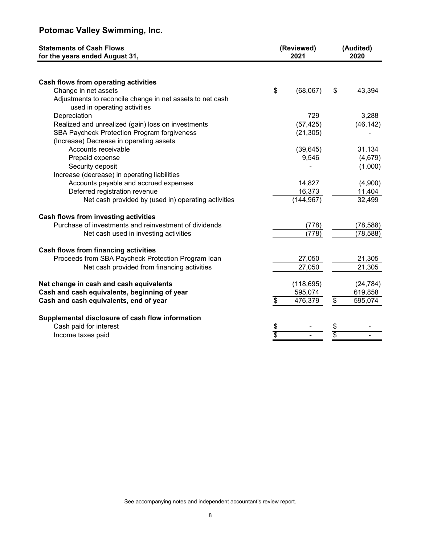| <b>Statements of Cash Flows</b><br>for the years ended August 31,                         |             | (Reviewed)<br>2021 |                 | (Audited)<br>2020 |
|-------------------------------------------------------------------------------------------|-------------|--------------------|-----------------|-------------------|
|                                                                                           |             |                    |                 |                   |
| Cash flows from operating activities                                                      |             |                    |                 |                   |
| Change in net assets                                                                      | \$          | (68,067)           | \$              | 43,394            |
| Adjustments to reconcile change in net assets to net cash<br>used in operating activities |             |                    |                 |                   |
| Depreciation                                                                              |             | 729                |                 | 3,288             |
| Realized and unrealized (gain) loss on investments                                        |             | (57, 425)          |                 | (46, 142)         |
| SBA Paycheck Protection Program forgiveness                                               |             | (21, 305)          |                 |                   |
| (Increase) Decrease in operating assets                                                   |             |                    |                 |                   |
| Accounts receivable                                                                       |             | (39, 645)          |                 | 31,134            |
| Prepaid expense                                                                           |             | 9,546              |                 | (4,679)           |
| Security deposit                                                                          |             |                    |                 | (1,000)           |
| Increase (decrease) in operating liabilities                                              |             |                    |                 |                   |
| Accounts payable and accrued expenses                                                     |             | 14,827             |                 | (4,900)           |
| Deferred registration revenue                                                             |             | 16,373             |                 | 11,404            |
| Net cash provided by (used in) operating activities                                       |             | (144, 967)         |                 | 32,499            |
| Cash flows from investing activities                                                      |             |                    |                 |                   |
| Purchase of investments and reinvestment of dividends                                     |             | (778)              |                 | (78, 588)         |
| Net cash used in investing activities                                                     |             | (778)              |                 | (78, 588)         |
| <b>Cash flows from financing activities</b>                                               |             |                    |                 |                   |
| Proceeds from SBA Paycheck Protection Program loan                                        |             | 27,050             |                 | 21,305            |
| Net cash provided from financing activities                                               |             | 27,050             |                 | 21,305            |
| Net change in cash and cash equivalents                                                   |             | (118, 695)         |                 | (24, 784)         |
| Cash and cash equivalents, beginning of year                                              |             | 595,074            |                 | 619,858           |
| Cash and cash equivalents, end of year                                                    | \$          | 476,379            | $\overline{\$}$ | 595,074           |
| Supplemental disclosure of cash flow information                                          |             |                    |                 |                   |
| Cash paid for interest                                                                    |             |                    |                 |                   |
| Income taxes paid                                                                         | $rac{1}{3}$ |                    | \$              |                   |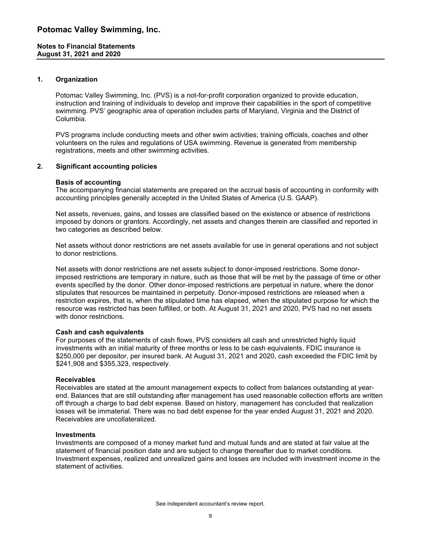#### **1. Organization**

Potomac Valley Swimming, Inc. (PVS) is a not-for-profit corporation organized to provide education, instruction and training of individuals to develop and improve their capabilities in the sport of competitive swimming. PVS' geographic area of operation includes parts of Maryland, Virginia and the District of Columbia.

PVS programs include conducting meets and other swim activities; training officials, coaches and other volunteers on the rules and regulations of USA swimming. Revenue is generated from membership registrations, meets and other swimming activities.

#### **2. Significant accounting policies**

#### **Basis of accounting**

The accompanying financial statements are prepared on the accrual basis of accounting in conformity with accounting principles generally accepted in the United States of America (U.S. GAAP).

Net assets, revenues, gains, and losses are classified based on the existence or absence of restrictions imposed by donors or grantors. Accordingly, net assets and changes therein are classified and reported in two categories as described below.

Net assets without donor restrictions are net assets available for use in general operations and not subject to donor restrictions.

Net assets with donor restrictions are net assets subject to donor-imposed restrictions. Some donorimposed restrictions are temporary in nature, such as those that will be met by the passage of time or other events specified by the donor. Other donor-imposed restrictions are perpetual in nature, where the donor stipulates that resources be maintained in perpetuity. Donor-imposed restrictions are released when a restriction expires, that is, when the stipulated time has elapsed, when the stipulated purpose for which the resource was restricted has been fulfilled, or both. At August 31, 2021 and 2020, PVS had no net assets with donor restrictions.

#### **Cash and cash equivalents**

For purposes of the statements of cash flows, PVS considers all cash and unrestricted highly liquid investments with an initial maturity of three months or less to be cash equivalents. FDIC insurance is \$250,000 per depositor, per insured bank. At August 31, 2021 and 2020, cash exceeded the FDIC limit by \$241,908 and \$355,323, respectively.

#### **Receivables**

Receivables are stated at the amount management expects to collect from balances outstanding at yearend. Balances that are still outstanding after management has used reasonable collection efforts are written off through a charge to bad debt expense. Based on history, management has concluded that realization losses will be immaterial. There was no bad debt expense for the year ended August 31, 2021 and 2020. Receivables are uncollateralized.

#### **Investments**

Investments are composed of a money market fund and mutual funds and are stated at fair value at the statement of financial position date and are subject to change thereafter due to market conditions. Investment expenses, realized and unrealized gains and losses are included with investment income in the statement of activities.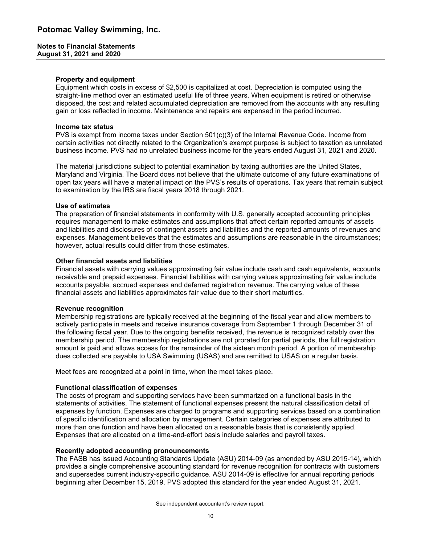#### **Notes to Financial Statements August 31, 2021 and 2020**

#### **Property and equipment**

Equipment which costs in excess of \$2,500 is capitalized at cost. Depreciation is computed using the straight-line method over an estimated useful life of three years. When equipment is retired or otherwise disposed, the cost and related accumulated depreciation are removed from the accounts with any resulting gain or loss reflected in income. Maintenance and repairs are expensed in the period incurred.

#### **Income tax status**

PVS is exempt from income taxes under Section 501(c)(3) of the Internal Revenue Code. Income from certain activities not directly related to the Organization's exempt purpose is subject to taxation as unrelated business income. PVS had no unrelated business income for the years ended August 31, 2021 and 2020.

The material jurisdictions subject to potential examination by taxing authorities are the United States, Maryland and Virginia. The Board does not believe that the ultimate outcome of any future examinations of open tax years will have a material impact on the PVS's results of operations. Tax years that remain subject to examination by the IRS are fiscal years 2018 through 2021.

#### **Use of estimates**

The preparation of financial statements in conformity with U.S. generally accepted accounting principles requires management to make estimates and assumptions that affect certain reported amounts of assets and liabilities and disclosures of contingent assets and liabilities and the reported amounts of revenues and expenses. Management believes that the estimates and assumptions are reasonable in the circumstances; however, actual results could differ from those estimates.

#### **Other financial assets and liabilities**

Financial assets with carrying values approximating fair value include cash and cash equivalents, accounts receivable and prepaid expenses. Financial liabilities with carrying values approximating fair value include accounts payable, accrued expenses and deferred registration revenue. The carrying value of these financial assets and liabilities approximates fair value due to their short maturities.

#### **Revenue recognition**

Membership registrations are typically received at the beginning of the fiscal year and allow members to actively participate in meets and receive insurance coverage from September 1 through December 31 of the following fiscal year. Due to the ongoing benefits received, the revenue is recognized ratably over the membership period. The membership registrations are not prorated for partial periods, the full registration amount is paid and allows access for the remainder of the sixteen month period. A portion of membership dues collected are payable to USA Swimming (USAS) and are remitted to USAS on a regular basis.

Meet fees are recognized at a point in time, when the meet takes place.

#### **Functional classification of expenses**

The costs of program and supporting services have been summarized on a functional basis in the statements of activities. The statement of functional expenses present the natural classification detail of expenses by function. Expenses are charged to programs and supporting services based on a combination of specific identification and allocation by management. Certain categories of expenses are attributed to more than one function and have been allocated on a reasonable basis that is consistently applied. Expenses that are allocated on a time-and-effort basis include salaries and payroll taxes.

#### **Recently adopted accounting pronouncements**

The FASB has issued Accounting Standards Update (ASU) 2014-09 (as amended by ASU 2015-14), which provides a single comprehensive accounting standard for revenue recognition for contracts with customers and supersedes current industry-specific guidance. ASU 2014-09 is effective for annual reporting periods beginning after December 15, 2019. PVS adopted this standard for the year ended August 31, 2021.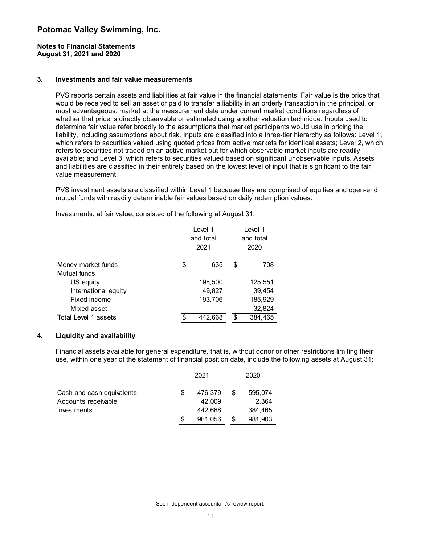#### **Notes to Financial Statements August 31, 2021 and 2020**

#### **3. Investments and fair value measurements**

PVS reports certain assets and liabilities at fair value in the financial statements. Fair value is the price that would be received to sell an asset or paid to transfer a liability in an orderly transaction in the principal, or most advantageous, market at the measurement date under current market conditions regardless of whether that price is directly observable or estimated using another valuation technique. Inputs used to determine fair value refer broadly to the assumptions that market participants would use in pricing the liability, including assumptions about risk. Inputs are classified into a three-tier hierarchy as follows: Level 1, which refers to securities valued using quoted prices from active markets for identical assets; Level 2, which refers to securities not traded on an active market but for which observable market inputs are readily available; and Level 3, which refers to securities valued based on significant unobservable inputs. Assets and liabilities are classified in their entirety based on the lowest level of input that is significant to the fair value measurement.

PVS investment assets are classified within Level 1 because they are comprised of equities and open-end mutual funds with readily determinable fair values based on daily redemption values.

|                      | Level 1<br>and total<br>2021 | Level 1<br>and total<br>2020 |  |  |  |
|----------------------|------------------------------|------------------------------|--|--|--|
| Money market funds   | \$<br>635                    | \$<br>708                    |  |  |  |
| Mutual funds         |                              |                              |  |  |  |
| US equity            | 198,500                      | 125,551                      |  |  |  |
| International equity | 49,827                       | 39,454                       |  |  |  |
| Fixed income         | 193,706                      | 185,929                      |  |  |  |
| Mixed asset          |                              | 32,824                       |  |  |  |
| Total Level 1 assets | \$<br>442,668                | \$<br>384,465                |  |  |  |

Investments, at fair value, consisted of the following at August 31:

#### **4. Liquidity and availability**

Financial assets available for general expenditure, that is, without donor or other restrictions limiting their use, within one year of the statement of financial position date, include the following assets at August 31:

|                           |    | 2021    |    | 2020    |
|---------------------------|----|---------|----|---------|
|                           |    |         |    |         |
| Cash and cash equivalents | S. | 476.379 | S  | 595,074 |
| Accounts receivable       |    | 42.009  |    | 2.364   |
| Investments               |    | 442.668 |    | 384,465 |
|                           | S  | 961.056 | \$ | 981,903 |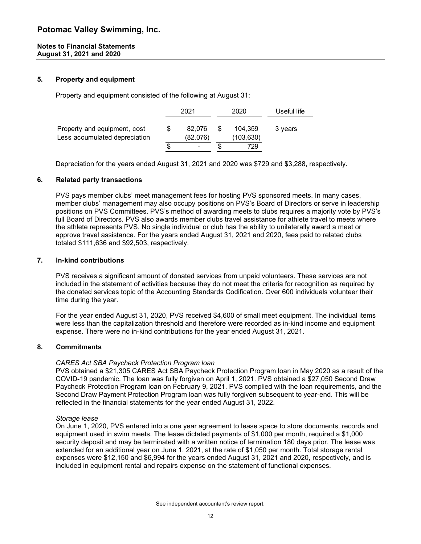#### **5. Property and equipment**

Property and equipment consisted of the following at August 31:

|                                                               | 2021               | 2020                 | Useful life |
|---------------------------------------------------------------|--------------------|----------------------|-------------|
| Property and equipment, cost<br>Less accumulated depreciation | 82.076<br>(82,076) | 104.359<br>(103,630) | 3 years     |
|                                                               |                    | 729                  |             |

Depreciation for the years ended August 31, 2021 and 2020 was \$729 and \$3,288, respectively.

#### **6. Related party transactions**

PVS pays member clubs' meet management fees for hosting PVS sponsored meets. In many cases, member clubs' management may also occupy positions on PVS's Board of Directors or serve in leadership positions on PVS Committees. PVS's method of awarding meets to clubs requires a majority vote by PVS's full Board of Directors. PVS also awards member clubs travel assistance for athlete travel to meets where the athlete represents PVS. No single individual or club has the ability to unilaterally award a meet or approve travel assistance. For the years ended August 31, 2021 and 2020, fees paid to related clubs totaled \$111,636 and \$92,503, respectively.

#### **7. In-kind contributions**

PVS receives a significant amount of donated services from unpaid volunteers. These services are not included in the statement of activities because they do not meet the criteria for recognition as required by the donated services topic of the Accounting Standards Codification. Over 600 individuals volunteer their time during the year.

For the year ended August 31, 2020, PVS received \$4,600 of small meet equipment. The individual items were less than the capitalization threshold and therefore were recorded as in-kind income and equipment expense. There were no in-kind contributions for the year ended August 31, 2021.

#### **8. Commitments**

#### *CARES Act SBA Paycheck Protection Program loan*

PVS obtained a \$21,305 CARES Act SBA Paycheck Protection Program loan in May 2020 as a result of the COVID-19 pandemic. The loan was fully forgiven on April 1, 2021. PVS obtained a \$27,050 Second Draw Paycheck Protection Program loan on February 9, 2021. PVS complied with the loan requirements, and the Second Draw Payment Protection Program loan was fully forgiven subsequent to year-end. This will be reflected in the financial statements for the year ended August 31, 2022.

#### *Storage lease*

On June 1, 2020, PVS entered into a one year agreement to lease space to store documents, records and equipment used in swim meets. The lease dictated payments of \$1,000 per month, required a \$1,000 security deposit and may be terminated with a written notice of termination 180 days prior. The lease was extended for an additional year on June 1, 2021, at the rate of \$1,050 per month. Total storage rental expenses were \$12,150 and \$6,994 for the years ended August 31, 2021 and 2020, respectively, and is included in equipment rental and repairs expense on the statement of functional expenses.